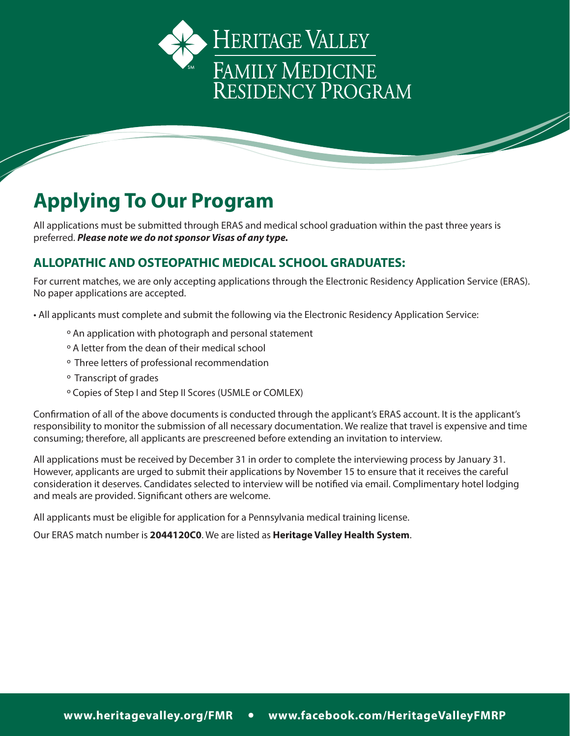

# **Applying To Our Program**

All applications must be submitted through ERAS and medical school graduation within the past three years is preferred. *Please note we do not sponsor Visas of any type.*

## **ALLOPATHIC AND OSTEOPATHIC MEDICAL SCHOOL GRADUATES:**

For current matches, we are only accepting applications through the Electronic Residency Application Service (ERAS). No paper applications are accepted.

• All applicants must complete and submit the following via the Electronic Residency Application Service:

- º An application with photograph and personal statement
- º A letter from the dean of their medical school
- º Three letters of professional recommendation
- º Transcript of grades
- º Copies of Step I and Step II Scores (USMLE or COMLEX)

Confirmation of all of the above documents is conducted through the applicant's ERAS account. It is the applicant's responsibility to monitor the submission of all necessary documentation. We realize that travel is expensive and time consuming; therefore, all applicants are prescreened before extending an invitation to interview.

All applications must be received by December 31 in order to complete the interviewing process by January 31. However, applicants are urged to submit their applications by November 15 to ensure that it receives the careful consideration it deserves. Candidates selected to interview will be notified via email. Complimentary hotel lodging and meals are provided. Significant others are welcome.

All applicants must be eligible for application for a Pennsylvania medical training license.

Our ERAS match number is **2044120C0**. We are listed as **Heritage Valley Health System**.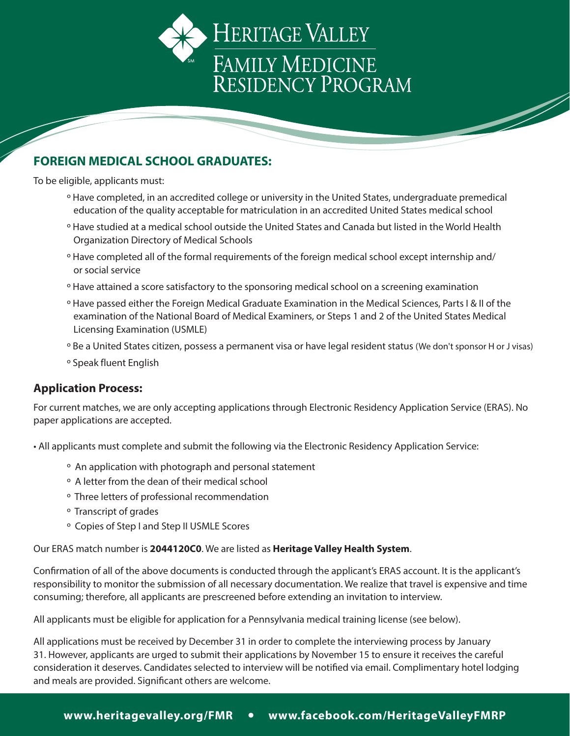

### **FOREIGN MEDICAL SCHOOL GRADUATES:**

To be eligible, applicants must:

- º Have completed, in an accredited college or university in the United States, undergraduate premedical education of the quality acceptable for matriculation in an accredited United States medical school
- º Have studied at a medical school outside the United States and Canada but listed in the World Health Organization Directory of Medical Schools
- º Have completed all of the formal requirements of the foreign medical school except internship and/ or social service
- º Have attained a score satisfactory to the sponsoring medical school on a screening examination
- º Have passed either the Foreign Medical Graduate Examination in the Medical Sciences, Parts I & II of the examination of the National Board of Medical Examiners, or Steps 1 and 2 of the United States Medical Licensing Examination (USMLE)
- º Be a United States citizen, possess a permanent visa or have legal resident status (We don't sponsor H or J visas)
- º Speak fluent English

#### **Application Process:**

For current matches, we are only accepting applications through Electronic Residency Application Service (ERAS). No paper applications are accepted.

• All applicants must complete and submit the following via the Electronic Residency Application Service:

- º An application with photograph and personal statement
- º A letter from the dean of their medical school
- º Three letters of professional recommendation
- º Transcript of grades
- º Copies of Step I and Step II USMLE Scores

Our ERAS match number is **2044120C0**. We are listed as **Heritage Valley Health System**.

Confirmation of all of the above documents is conducted through the applicant's ERAS account. It is the applicant's responsibility to monitor the submission of all necessary documentation. We realize that travel is expensive and time consuming; therefore, all applicants are prescreened before extending an invitation to interview.

All applicants must be eligible for application for a Pennsylvania medical training license (see below).

All applications must be received by December 31 in order to complete the interviewing process by January 31. However, applicants are urged to submit their applications by November 15 to ensure it receives the careful consideration it deserves. Candidates selected to interview will be notified via email. Complimentary hotel lodging and meals are provided. Significant others are welcome.